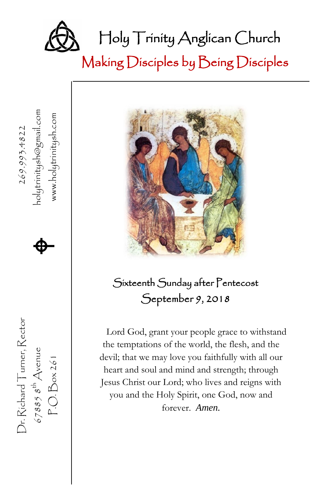

Making Disciples by Being Disciples



、

Dr. Richard Turner, Rector  $269.993.4822$ 

Dr. Richard Turner, Rector

 $67885$   $8^{\text{th}}$  Avenue<br>P.O. Box 261

67885  $s^{\text{th}}$  Avenue **A** 

 $\spadesuit$ 

nolytrinitysh@gmail.com<br>www.holytrinitysh.com

P.O. Box 261 www.holytrinitysh.com

#### Sixteenth Sunday after Pentecost September 9, 2018

Lord God, grant your people grace to withstand the temptations of the world, the flesh, and the devil; that we may love you faithfully with all our heart and soul and mind and strength; through Jesus Christ our Lord; who lives and reigns with you and the Holy Spirit, one God, now and forever. *Amen.*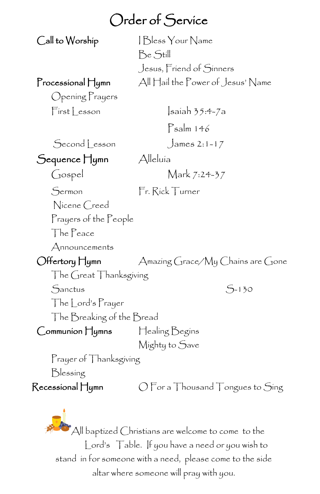#### Order of Service

Call to Worship I Bless Your Name Be Still Jesus, Friend of Sinners Processional Hymn All Hail the Power of Jesus' Name

Opening Prayers  $First less on$   $Isaiah 35:4-7a$ 

Psalm 146

Second Lesson James 2:1-17

Sequence Hymn Alleluía

Gospel Mark 7:24-37

Sermon Fr. Rick Turner

Nicene Creed Prayers of the People

The Peace

Announcements

Offertory Hymn Amazing Grace/My Chains are Gone

The Great Thanksgiving  $S<sub>-130</sub>$ 

The Lord's Prayer

The Breaking of the Bread

Communion Hymns Healing Begins

Mighty to Save

Prayer of Thanksgiving

Blessing

 $\mathsf{Recessional}\,\mathsf{H}$ ymn  $\mathsf{O}\,\mathsf{For}\,\mathsf{a}\,\mathsf{Thousand}\,\mathsf{T}$ ongues to  $\mathsf{Sing}$ 

 $^{\bullet}$ All baptized Christians are welcome to come to the Lord's Table. If you have a need or you wish to stand in for someone with a need, please come to the side altar where someone will pray with you.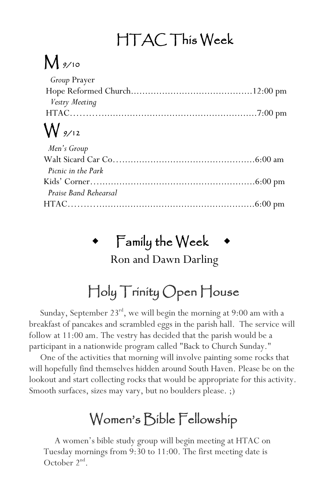# HTAC This Week

## $M_{\frac{9}{10}}$

| $M_{\alpha\alpha}$  |  |
|---------------------|--|
|                     |  |
| Vestry Meeting      |  |
|                     |  |
| <i>Group</i> Prayer |  |

#### W 9/12

| Men's Group           |  |
|-----------------------|--|
|                       |  |
| Picnic in the Park    |  |
|                       |  |
| Praise Band Rehearsal |  |
|                       |  |

# Family the Week

Ron and Dawn Darling

# Holy Trinity Open House

Sunday, September 23<sup>rd</sup>, we will begin the morning at 9:00 am with a breakfast of pancakes and scrambled eggs in the parish hall. The service will follow at 11:00 am. The vestry has decided that the parish would be a participant in a nationwide program called "Back to Church Sunday."

 One of the activities that morning will involve painting some rocks that will hopefully find themselves hidden around South Haven. Please be on the lookout and start collecting rocks that would be appropriate for this activity. Smooth surfaces, sizes may vary, but no boulders please. ;)

### Women's Bible Fellowship

 A women's bible study group will begin meeting at HTAC on Tuesday mornings from 9:30 to 11:00. The first meeting date is October  $2<sup>nd</sup>$ .